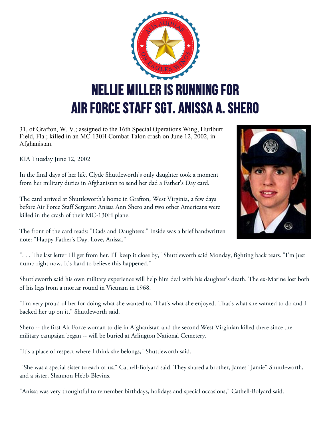

31, of Grafton, W. V.; assigned to the 16th Special Operations Wing, Hurlburt Field, Fla.; killed in an MC-130H Combat Talon crash on June 12, 2002, in Afghanistan.

KIA Tuesday June 12, 2002

In the final days of her life, Clyde Shuttleworth's only daughter took a moment from her military duties in Afghanistan to send her dad a Father's Day card.

The card arrived at Shuttleworth's home in Grafton, West Virginia, a few days before Air Force Staff Sergeant Anissa Ann Shero and two other Americans were killed in the crash of their MC-130H plane.



The front of the card reads: "Dads and Daughters." Inside was a brief handwritten note: "Happy Father's Day. Love, Anissa."

". . . The last letter I'll get from her. I'll keep it close by," Shuttleworth said Monday, fighting back tears. "I'm just numb right now. It's hard to believe this happened."

Shuttleworth said his own military experience will help him deal with his daughter's death. The ex-Marine lost both of his legs from a mortar round in Vietnam in 1968.

"I'm very proud of her for doing what she wanted to. That's what she enjoyed. That's what she wanted to do and I backed her up on it," Shuttleworth said.

Shero -- the first Air Force woman to die in Afghanistan and the second West Virginian killed there since the military campaign began -- will be buried at Arlington National Cemetery.

"It's a place of respect where I think she belongs," Shuttleworth said.

"She was a special sister to each of us," Cathell-Bolyard said. They shared a brother, James "Jamie" Shuttleworth, and a sister, Shannon Hebb-Blevins.

"Anissa was very thoughtful to remember birthdays, holidays and special occasions," Cathell-Bolyard said.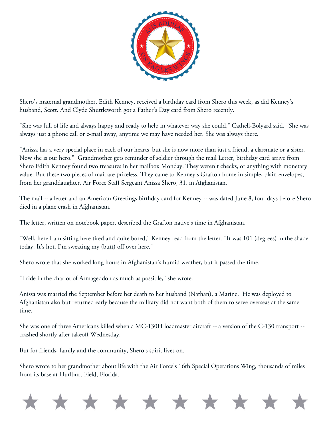

Shero's maternal grandmother, Edith Kenney, received a birthday card from Shero this week, as did Kenney's husband, Scott. And Clyde Shuttleworth got a Father's Day card from Shero recently.

"She was full of life and always happy and ready to help in whatever way she could," Cathell-Bolyard said. "She was always just a phone call or e-mail away, anytime we may have needed her. She was always there.

"Anissa has a very special place in each of our hearts, but she is now more than just a friend, a classmate or a sister. Now she is our hero." Grandmother gets reminder of soldier through the mail Letter, birthday card arrive from Shero Edith Kenney found two treasures in her mailbox Monday. They weren't checks, or anything with monetary value. But these two pieces of mail are priceless. They came to Kenney's Grafton home in simple, plain envelopes, from her granddaughter, Air Force Staff Sergeant Anissa Shero, 31, in Afghanistan.

The mail -- a letter and an American Greetings birthday card for Kenney -- was dated June 8, four days before Shero died in a plane crash in Afghanistan.

The letter, written on notebook paper, described the Grafton native's time in Afghanistan.

"Well, here I am sitting here tired and quite bored," Kenney read from the letter. "It was 101 (degrees) in the shade today. It's hot. I'm sweating my (butt) off over here."

Shero wrote that she worked long hours in Afghanistan's humid weather, but it passed the time.

"I ride in the chariot of Armageddon as much as possible," she wrote.

Anissa was married the September before her death to her husband (Nathan), a Marine. He was deployed to Afghanistan also but returned early because the military did not want both of them to serve overseas at the same time.

She was one of three Americans killed when a MC-130H loadmaster aircraft -- a version of the C-130 transport - crashed shortly after takeoff Wednesday.

But for friends, family and the community, Shero's spirit lives on.

Shero wrote to her grandmother about life with the Air Force's 16th Special Operations Wing, thousands of miles from its base at Hurlburt Field, Florida.